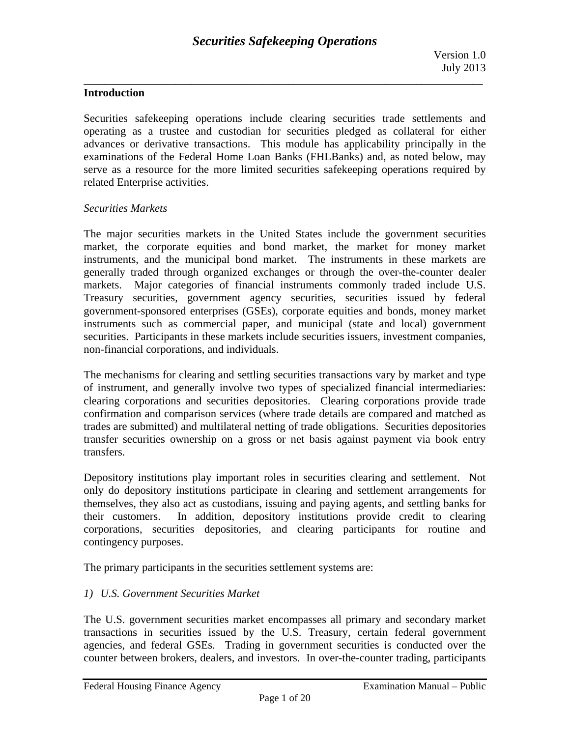# **Introduction**

Securities safekeeping operations include clearing securities trade settlements and operating as a trustee and custodian for securities pledged as collateral for either advances or derivative transactions. This module has applicability principally in the examinations of the Federal Home Loan Banks (FHLBanks) and, as noted below, may serve as a resource for the more limited securities safekeeping operations required by related Enterprise activities.

### *Securities Markets*

The major securities markets in the United States include the government securities market, the corporate equities and bond market, the market for money market instruments, and the municipal bond market. The instruments in these markets are generally traded through organized exchanges or through the over-the-counter dealer markets. Major categories of financial instruments commonly traded include U.S. Treasury securities, government agency securities, securities issued by federal government-sponsored enterprises (GSEs), corporate equities and bonds, money market instruments such as commercial paper, and municipal (state and local) government securities. Participants in these markets include securities issuers, investment companies, non-financial corporations, and individuals.

The mechanisms for clearing and settling securities transactions vary by market and type of instrument, and generally involve two types of specialized financial intermediaries: clearing corporations and securities depositories. Clearing corporations provide trade confirmation and comparison services (where trade details are compared and matched as trades are submitted) and multilateral netting of trade obligations. Securities depositories transfer securities ownership on a gross or net basis against payment via book entry transfers.

Depository institutions play important roles in securities clearing and settlement. Not only do depository institutions participate in clearing and settlement arrangements for themselves, they also act as custodians, issuing and paying agents, and settling banks for their customers. In addition, depository institutions provide credit to clearing corporations, securities depositories, and clearing participants for routine and contingency purposes.

The primary participants in the securities settlement systems are:

# *1) U.S. Government Securities Market*

The U.S. government securities market encompasses all primary and secondary market transactions in securities issued by the U.S. Treasury, certain federal government agencies, and federal GSEs. Trading in government securities is conducted over the counter between brokers, dealers, and investors. In over-the-counter trading, participants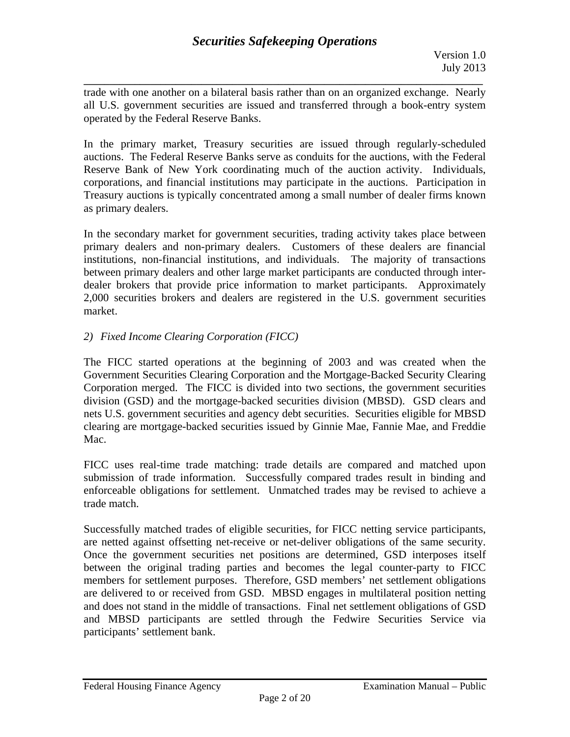**\_\_\_\_\_\_\_\_\_\_\_\_\_\_\_\_\_\_\_\_\_\_\_\_\_\_\_\_\_\_\_\_\_\_\_\_\_\_\_\_\_\_\_\_\_\_\_\_\_\_\_\_\_\_\_\_\_\_\_\_\_\_\_\_\_\_\_\_\_\_\_\_\_\_\_\_\_\_**  trade with one another on a bilateral basis rather than on an organized exchange. Nearly all U.S. government securities are issued and transferred through a book-entry system operated by the Federal Reserve Banks.

In the primary market, Treasury securities are issued through regularly-scheduled auctions. The Federal Reserve Banks serve as conduits for the auctions, with the Federal Reserve Bank of New York coordinating much of the auction activity. Individuals, corporations, and financial institutions may participate in the auctions. Participation in Treasury auctions is typically concentrated among a small number of dealer firms known as primary dealers.

In the secondary market for government securities, trading activity takes place between primary dealers and non-primary dealers. Customers of these dealers are financial institutions, non-financial institutions, and individuals. The majority of transactions between primary dealers and other large market participants are conducted through interdealer brokers that provide price information to market participants. Approximately 2,000 securities brokers and dealers are registered in the U.S. government securities market.

# *2) Fixed Income Clearing Corporation (FICC)*

The FICC started operations at the beginning of 2003 and was created when the Government Securities Clearing Corporation and the Mortgage-Backed Security Clearing Corporation merged. The FICC is divided into two sections, the government securities division (GSD) and the mortgage-backed securities division (MBSD). GSD clears and nets U.S. government securities and agency debt securities. Securities eligible for MBSD clearing are mortgage-backed securities issued by Ginnie Mae, Fannie Mae, and Freddie Mac.

FICC uses real-time trade matching: trade details are compared and matched upon submission of trade information. Successfully compared trades result in binding and enforceable obligations for settlement. Unmatched trades may be revised to achieve a trade match.

Successfully matched trades of eligible securities, for FICC netting service participants, are netted against offsetting net-receive or net-deliver obligations of the same security. Once the government securities net positions are determined, GSD interposes itself between the original trading parties and becomes the legal counter-party to FICC members for settlement purposes. Therefore, GSD members' net settlement obligations are delivered to or received from GSD. MBSD engages in multilateral position netting and does not stand in the middle of transactions. Final net settlement obligations of GSD and MBSD participants are settled through the Fedwire Securities Service via participants' settlement bank.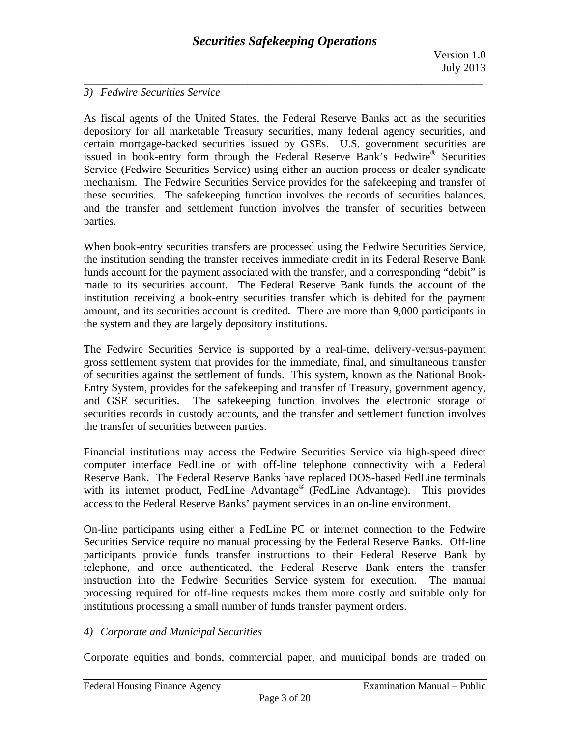### *3) Fedwire Securities Service*

As fiscal agents of the United States, the Federal Reserve Banks act as the securities depository for all marketable Treasury securities, many federal agency securities, and certain mortgage-backed securities issued by GSEs. U.S. government securities are issued in book-entry form through the Federal Reserve Bank's Fedwire<sup>®</sup> Securities Service (Fedwire Securities Service) using either an auction process or dealer syndicate mechanism. The Fedwire Securities Service provides for the safekeeping and transfer of these securities. The safekeeping function involves the records of securities balances, and the transfer and settlement function involves the transfer of securities between parties.

When book-entry securities transfers are processed using the Fedwire Securities Service, the institution sending the transfer receives immediate credit in its Federal Reserve Bank funds account for the payment associated with the transfer, and a corresponding "debit" is made to its securities account. The Federal Reserve Bank funds the account of the institution receiving a book-entry securities transfer which is debited for the payment amount, and its securities account is credited. There are more than 9,000 participants in the system and they are largely depository institutions.

The Fedwire Securities Service is supported by a real-time, delivery-versus-payment gross settlement system that provides for the immediate, final, and simultaneous transfer of securities against the settlement of funds. This system, known as the National Book-Entry System, provides for the safekeeping and transfer of Treasury, government agency, and GSE securities. The safekeeping function involves the electronic storage of securities records in custody accounts, and the transfer and settlement function involves the transfer of securities between parties.

Financial institutions may access the Fedwire Securities Service via high-speed direct computer interface FedLine or with off-line telephone connectivity with a Federal Reserve Bank. The Federal Reserve Banks have replaced DOS-based FedLine terminals with its internet product, FedLine Advantage<sup>®</sup> (FedLine Advantage). This provides access to the Federal Reserve Banks' payment services in an on-line environment.

On-line participants using either a FedLine PC or internet connection to the Fedwire Securities Service require no manual processing by the Federal Reserve Banks. Off-line participants provide funds transfer instructions to their Federal Reserve Bank by telephone, and once authenticated, the Federal Reserve Bank enters the transfer instruction into the Fedwire Securities Service system for execution. The manual processing required for off-line requests makes them more costly and suitable only for institutions processing a small number of funds transfer payment orders.

### *4) Corporate and Municipal Securities*

Corporate equities and bonds, commercial paper, and municipal bonds are traded on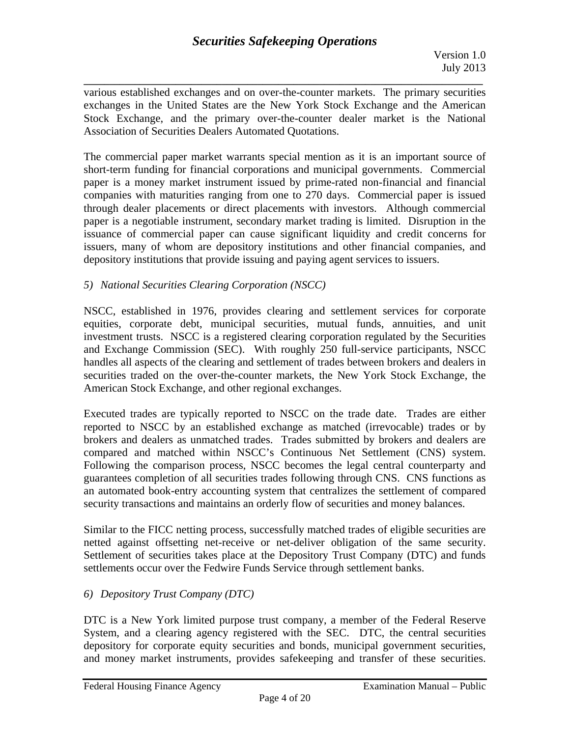**\_\_\_\_\_\_\_\_\_\_\_\_\_\_\_\_\_\_\_\_\_\_\_\_\_\_\_\_\_\_\_\_\_\_\_\_\_\_\_\_\_\_\_\_\_\_\_\_\_\_\_\_\_\_\_\_\_\_\_\_\_\_\_\_\_\_\_\_\_\_\_\_\_\_\_\_\_\_**  various established exchanges and on over-the-counter markets. The primary securities exchanges in the United States are the New York Stock Exchange and the American Stock Exchange, and the primary over-the-counter dealer market is the National Association of Securities Dealers Automated Quotations.

The commercial paper market warrants special mention as it is an important source of short-term funding for financial corporations and municipal governments. Commercial paper is a money market instrument issued by prime-rated non-financial and financial companies with maturities ranging from one to 270 days. Commercial paper is issued through dealer placements or direct placements with investors. Although commercial paper is a negotiable instrument, secondary market trading is limited. Disruption in the issuance of commercial paper can cause significant liquidity and credit concerns for issuers, many of whom are depository institutions and other financial companies, and depository institutions that provide issuing and paying agent services to issuers.

# *5) National Securities Clearing Corporation (NSCC)*

NSCC, established in 1976, provides clearing and settlement services for corporate equities, corporate debt, municipal securities, mutual funds, annuities, and unit investment trusts. NSCC is a registered clearing corporation regulated by the Securities and Exchange Commission (SEC). With roughly 250 full-service participants, NSCC handles all aspects of the clearing and settlement of trades between brokers and dealers in securities traded on the over-the-counter markets, the New York Stock Exchange, the American Stock Exchange, and other regional exchanges.

Executed trades are typically reported to NSCC on the trade date. Trades are either reported to NSCC by an established exchange as matched (irrevocable) trades or by brokers and dealers as unmatched trades. Trades submitted by brokers and dealers are compared and matched within NSCC's Continuous Net Settlement (CNS) system. Following the comparison process, NSCC becomes the legal central counterparty and guarantees completion of all securities trades following through CNS. CNS functions as an automated book-entry accounting system that centralizes the settlement of compared security transactions and maintains an orderly flow of securities and money balances.

netted against offsetting net-receive or net-deliver obligation of the same security. Similar to the FICC netting process, successfully matched trades of eligible securities are Settlement of securities takes place at the Depository Trust Company (DTC) and funds settlements occur over the Fedwire Funds Service through settlement banks.

# *6) Depository Trust Company (DTC)*

and money market instruments, provides safekeeping and transfer of these securities.<br>Federal Housing Finance Agency Examination Manual – Public DTC is a New York limited purpose trust company, a member of the Federal Reserve System, and a clearing agency registered with the SEC. DTC, the central securities depository for corporate equity securities and bonds, municipal government securities,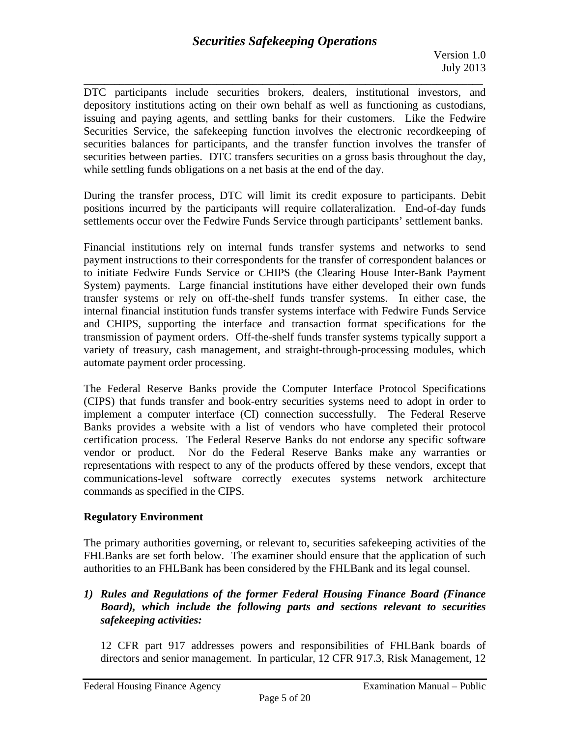**\_\_\_\_\_\_\_\_\_\_\_\_\_\_\_\_\_\_\_\_\_\_\_\_\_\_\_\_\_\_\_\_\_\_\_\_\_\_\_\_\_\_\_\_\_\_\_\_\_\_\_\_\_\_\_\_\_\_\_\_\_\_\_\_\_\_\_\_\_\_\_\_\_\_\_\_\_\_**  DTC participants include securities brokers, dealers, institutional investors, and depository institutions acting on their own behalf as well as functioning as custodians, issuing and paying agents, and settling banks for their customers. Like the Fedwire Securities Service, the safekeeping function involves the electronic recordkeeping of securities balances for participants, and the transfer function involves the transfer of securities between parties. DTC transfers securities on a gross basis throughout the day, while settling funds obligations on a net basis at the end of the day.

During the transfer process, DTC will limit its credit exposure to participants. Debit positions incurred by the participants will require collateralization. End-of-day funds settlements occur over the Fedwire Funds Service through participants' settlement banks.

Financial institutions rely on internal funds transfer systems and networks to send payment instructions to their correspondents for the transfer of correspondent balances or to initiate Fedwire Funds Service or CHIPS (the Clearing House Inter-Bank Payment System) payments. Large financial institutions have either developed their own funds transfer systems or rely on off-the-shelf funds transfer systems. In either case, the internal financial institution funds transfer systems interface with Fedwire Funds Service and CHIPS, supporting the interface and transaction format specifications for the transmission of payment orders. Off-the-shelf funds transfer systems typically support a variety of treasury, cash management, and straight-through-processing modules, which automate payment order processing.

The Federal Reserve Banks provide the Computer Interface Protocol Specifications (CIPS) that funds transfer and book-entry securities systems need to adopt in order to implement a computer interface (CI) connection successfully. The Federal Reserve Banks provides a website with a list of vendors who have completed their protocol certification process. The Federal Reserve Banks do not endorse any specific software vendor or product. Nor do the Federal Reserve Banks make any warranties or representations with respect to any of the products offered by these vendors, except that communications-level software correctly executes systems network architecture commands as specified in the CIPS.

# **Regulatory Environment**

The primary authorities governing, or relevant to, securities safekeeping activities of the FHLBanks are set forth below. The examiner should ensure that the application of such authorities to an FHLBank has been considered by the FHLBank and its legal counsel.

# *1) Rules and Regulations of the former Federal Housing Finance Board (Finance Board), which include the following parts and sections relevant to securities safekeeping activities:*

12 CFR part 917 addresses powers and responsibilities of FHLBank boards of directors and senior management. In particular, 12 CFR 917.3, Risk Management, 12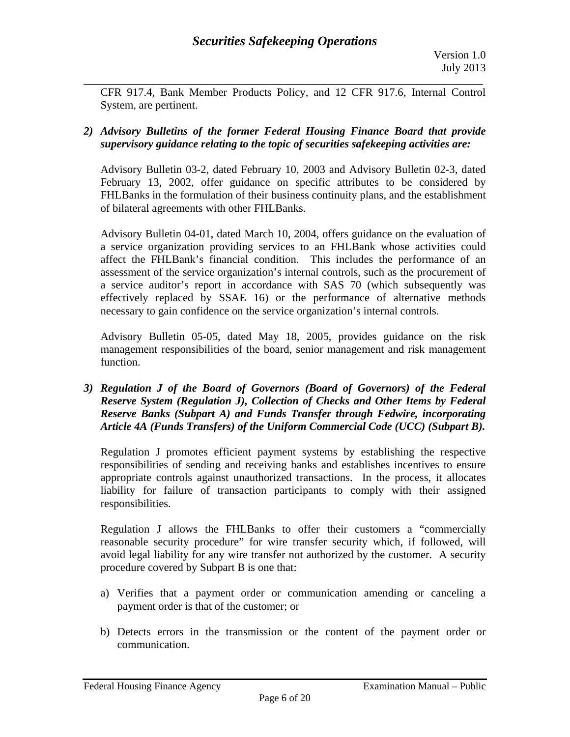CFR 917.4, Bank Member Products Policy, and 12 CFR 917.6, Internal Control System, are pertinent.

# *2) Advisory Bulletins of the former Federal Housing Finance Board that provide supervisory guidance relating to the topic of securities safekeeping activities are:*

Advisory Bulletin 03-2, dated February 10, 2003 and Advisory Bulletin 02-3, dated February 13, 2002, offer guidance on specific attributes to be considered by FHLBanks in the formulation of their business continuity plans, and the establishment of bilateral agreements with other FHLBanks.

Advisory Bulletin 04-01, dated March 10, 2004, offers guidance on the evaluation of a service organization providing services to an FHLBank whose activities could affect the FHLBank's financial condition. This includes the performance of an assessment of the service organization's internal controls, such as the procurement of a service auditor's report in accordance with SAS 70 (which subsequently was effectively replaced by SSAE 16) or the performance of alternative methods necessary to gain confidence on the service organization's internal controls.

Advisory Bulletin 05-05, dated May 18, 2005, provides guidance on the risk management responsibilities of the board, senior management and risk management function.

*3) Regulation J of the Board of Governors (Board of Governors) of the Federal Reserve System (Regulation J), Collection of Checks and Other Items by Federal Reserve Banks (Subpart A) and Funds Transfer through Fedwire, incorporating Article 4A (Funds Transfers) of the Uniform Commercial Code (UCC) (Subpart B).* 

Regulation J promotes efficient payment systems by establishing the respective responsibilities of sending and receiving banks and establishes incentives to ensure appropriate controls against unauthorized transactions. In the process, it allocates liability for failure of transaction participants to comply with their assigned responsibilities.

Regulation J allows the FHLBanks to offer their customers a "commercially reasonable security procedure" for wire transfer security which, if followed, will avoid legal liability for any wire transfer not authorized by the customer. A security procedure covered by Subpart B is one that:

- a) Verifies that a payment order or communication amending or canceling a payment order is that of the customer; or
- b) Detects errors in the transmission or the content of the payment order or communication.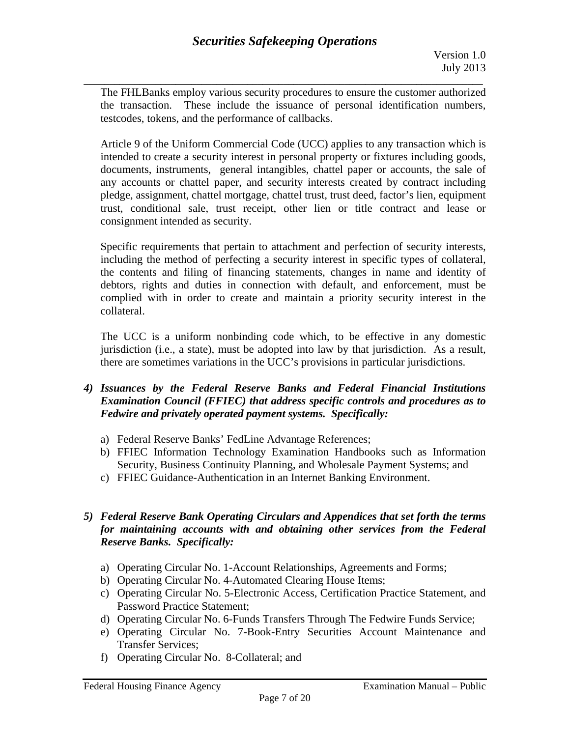**\_\_\_\_\_\_\_\_\_\_\_\_\_\_\_\_\_\_\_\_\_\_\_\_\_\_\_\_\_\_\_\_\_\_\_\_\_\_\_\_\_\_\_\_\_\_\_\_\_\_\_\_\_\_\_\_\_\_\_\_\_\_\_\_\_\_\_\_\_\_\_\_\_\_\_\_\_\_**  The FHLBanks employ various security procedures to ensure the customer authorized the transaction. These include the issuance of personal identification numbers, testcodes, tokens, and the performance of callbacks.

Article 9 of the Uniform Commercial Code (UCC) applies to any transaction which is intended to create a security interest in personal property or fixtures including goods, documents, instruments, general intangibles, chattel paper or accounts, the sale of any accounts or chattel paper, and security interests created by contract including pledge, assignment, chattel mortgage, chattel trust, trust deed, factor's lien, equipment trust, conditional sale, trust receipt, other lien or title contract and lease or consignment intended as security.

Specific requirements that pertain to attachment and perfection of security interests, including the method of perfecting a security interest in specific types of collateral, the contents and filing of financing statements, changes in name and identity of debtors, rights and duties in connection with default, and enforcement, must be complied with in order to create and maintain a priority security interest in the collateral.

The UCC is a uniform nonbinding code which, to be effective in any domestic jurisdiction (i.e., a state), must be adopted into law by that jurisdiction. As a result, there are sometimes variations in the UCC's provisions in particular jurisdictions.

# *4) Issuances by the Federal Reserve Banks and Federal Financial Institutions Examination Council (FFIEC) that address specific controls and procedures as to Fedwire and privately operated payment systems. Specifically:*

- a) Federal Reserve Banks' FedLine Advantage References;
- b) FFIEC Information Technology Examination Handbooks such as Information Security, Business Continuity Planning, and Wholesale Payment Systems; and
- c) FFIEC Guidance-Authentication in an Internet Banking Environment.

# *5) Federal Reserve Bank Operating Circulars and Appendices that set forth the terms for maintaining accounts with and obtaining other services from the Federal Reserve Banks. Specifically:*

- a) Operating Circular No. 1-Account Relationships, Agreements and Forms;
- b) Operating Circular No. 4-Automated Clearing House Items;
- c) Operating Circular No. 5-Electronic Access, Certification Practice Statement, and Password Practice Statement;
- d) Operating Circular No. 6-Funds Transfers Through The Fedwire Funds Service;
- e) Operating Circular No. 7-Book-Entry Securities Account Maintenance and Transfer Services;
- f) Operating Circular No. 8-Collateral; and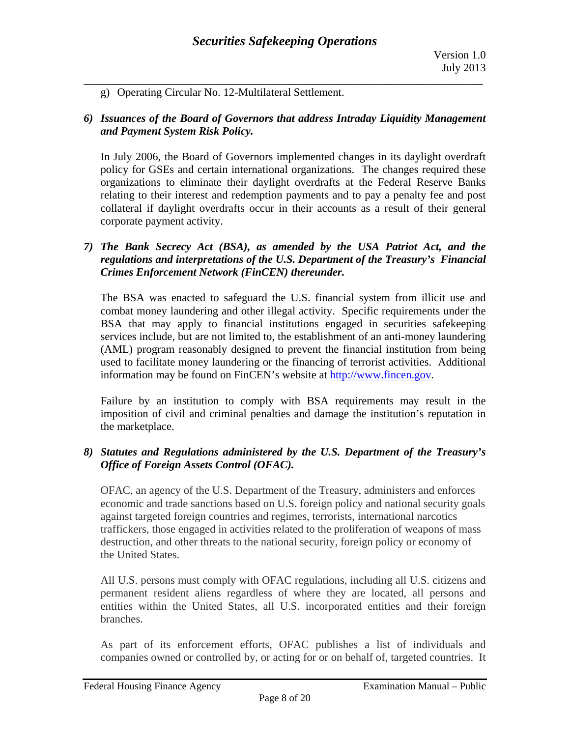g) Operating Circular No. 12-Multilateral Settlement.

### *6) Issuances of the Board of Governors that address Intraday Liquidity Management and Payment System Risk Policy.*

In July 2006, the Board of Governors implemented changes in its daylight overdraft policy for GSEs and certain international organizations. The changes required these organizations to eliminate their daylight overdrafts at the Federal Reserve Banks relating to their interest and redemption payments and to pay a penalty fee and post collateral if daylight overdrafts occur in their accounts as a result of their general corporate payment activity.

### *7) The Bank Secrecy Act (BSA), as amended by the USA Patriot Act, and the regulations and interpretations of the U.S. Department of the Treasury's Financial Crimes Enforcement Network (FinCEN) thereunder.*

The BSA was enacted to safeguard the U.S. financial system from illicit use and combat money laundering and other illegal activity. Specific requirements under the BSA that may apply to financial institutions engaged in securities safekeeping services include, but are not limited to, the establishment of an anti-money laundering (AML) program reasonably designed to prevent the financial institution from being used to facilitate money laundering or the financing of terrorist activities. Additional information may be found on FinCEN's website at http://www.fincen.gov.

Failure by an institution to comply with BSA requirements may result in the imposition of civil and criminal penalties and damage the institution's reputation in the marketplace.

# *8) Statutes and Regulations administered by the U.S. Department of the Treasury's Office of Foreign Assets Control (OFAC).*

OFAC, an agency of the U.S. Department of the Treasury, administers and enforces economic and trade sanctions based on U.S. foreign policy and national security goals against targeted foreign countries and regimes, terrorists, international narcotics traffickers, those engaged in activities related to the proliferation of weapons of mass destruction, and other threats to the national security, foreign policy or economy of the United States.

All U.S. persons must comply with OFAC regulations, including all U.S. citizens and permanent resident aliens regardless of where they are located, all persons and entities within the United States, all U.S. incorporated entities and their foreign branches.

As part of its enforcement efforts, OFAC publishes a list of individuals and companies owned or controlled by, or acting for or on behalf of, targeted countries. It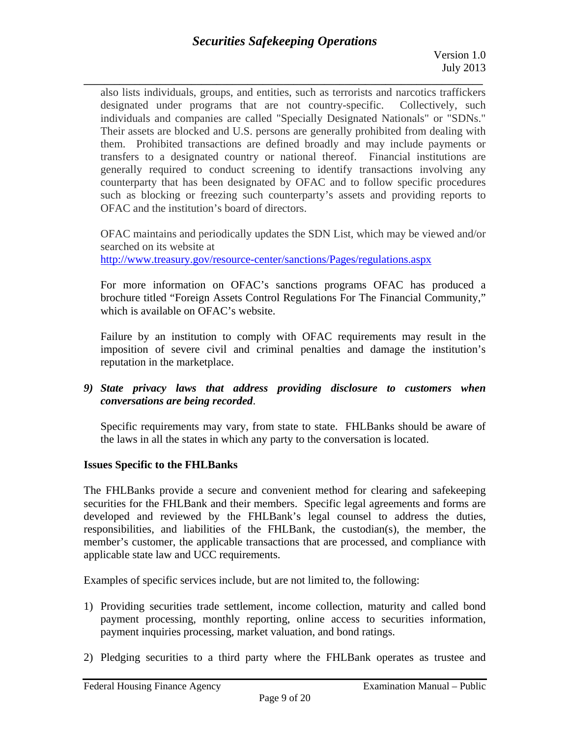**\_\_\_\_\_\_\_\_\_\_\_\_\_\_\_\_\_\_\_\_\_\_\_\_\_\_\_\_\_\_\_\_\_\_\_\_\_\_\_\_\_\_\_\_\_\_\_\_\_\_\_\_\_\_\_\_\_\_\_\_\_\_\_\_\_\_\_\_\_\_\_\_\_\_\_\_\_\_**  also lists individuals, groups, and entities, such as terrorists and narcotics traffickers designated under programs that are not country-specific. Collectively, such individuals and companies are called "Specially Designated Nationals" or "SDNs." Their assets are blocked and U.S. persons are generally prohibited from dealing with them. Prohibited transactions are defined broadly and may include payments or transfers to a designated country or national thereof. Financial institutions are generally required to conduct screening to identify transactions involving any counterparty that has been designated by OFAC and to follow specific procedures such as blocking or freezing such counterparty's assets and providing reports to OFAC and the institution's board of directors.

OFAC maintains and periodically updates the SDN List, which may be viewed and/or searched on its website at http://www.treasury.gov/resource-center/sanctions/Pages/regulations.aspx

For more information on OFAC's sanctions programs OFAC has produced a brochure titled "Foreign Assets Control Regulations For The Financial Community," which is available on OFAC's website.

Failure by an institution to comply with OFAC requirements may result in the imposition of severe civil and criminal penalties and damage the institution's reputation in the marketplace.

*9) State privacy laws that address providing disclosure to customers when conversations are being recorded*.

Specific requirements may vary, from state to state. FHLBanks should be aware of the laws in all the states in which any party to the conversation is located.

# **Issues Specific to the FHLBanks**

The FHLBanks provide a secure and convenient method for clearing and safekeeping securities for the FHLBank and their members. Specific legal agreements and forms are developed and reviewed by the FHLBank's legal counsel to address the duties, responsibilities, and liabilities of the FHLBank, the custodian(s), the member, the member's customer, the applicable transactions that are processed, and compliance with applicable state law and UCC requirements.

Examples of specific services include, but are not limited to, the following:

- 1) Providing securities trade settlement, income collection, maturity and called bond payment processing, monthly reporting, online access to securities information, payment inquiries processing, market valuation, and bond ratings.
- 2) Pledging securities to a third party where the FHLBank operates as trustee and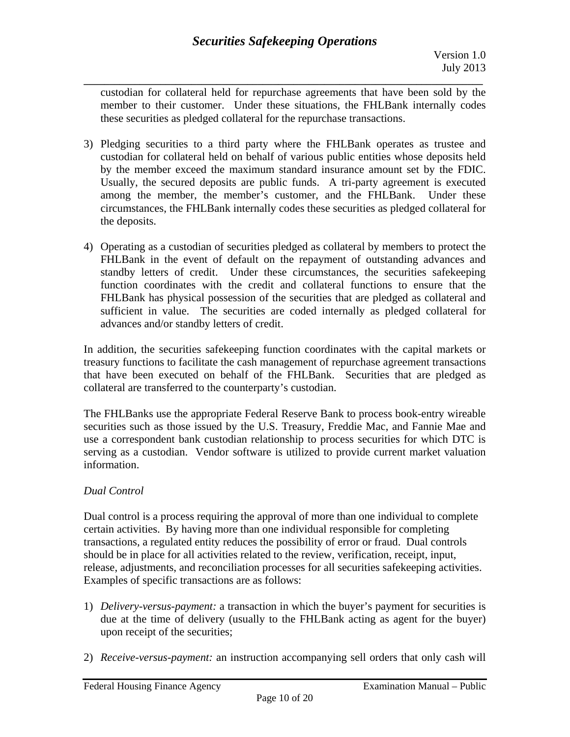**\_\_\_\_\_\_\_\_\_\_\_\_\_\_\_\_\_\_\_\_\_\_\_\_\_\_\_\_\_\_\_\_\_\_\_\_\_\_\_\_\_\_\_\_\_\_\_\_\_\_\_\_\_\_\_\_\_\_\_\_\_\_\_\_\_\_\_\_\_\_\_\_\_\_\_\_\_\_**  custodian for collateral held for repurchase agreements that have been sold by the member to their customer. Under these situations, the FHLBank internally codes these securities as pledged collateral for the repurchase transactions.

- 3) Pledging securities to a third party where the FHLBank operates as trustee and custodian for collateral held on behalf of various public entities whose deposits held by the member exceed the maximum standard insurance amount set by the FDIC. Usually, the secured deposits are public funds. A tri-party agreement is executed among the member, the member's customer, and the FHLBank. Under these circumstances, the FHLBank internally codes these securities as pledged collateral for the deposits.
- 4) Operating as a custodian of securities pledged as collateral by members to protect the FHLBank in the event of default on the repayment of outstanding advances and standby letters of credit. Under these circumstances, the securities safekeeping function coordinates with the credit and collateral functions to ensure that the FHLBank has physical possession of the securities that are pledged as collateral and sufficient in value. The securities are coded internally as pledged collateral for advances and/or standby letters of credit.

In addition, the securities safekeeping function coordinates with the capital markets or treasury functions to facilitate the cash management of repurchase agreement transactions that have been executed on behalf of the FHLBank. Securities that are pledged as collateral are transferred to the counterparty's custodian.

The FHLBanks use the appropriate Federal Reserve Bank to process book-entry wireable securities such as those issued by the U.S. Treasury, Freddie Mac, and Fannie Mae and use a correspondent bank custodian relationship to process securities for which DTC is serving as a custodian. Vendor software is utilized to provide current market valuation information.

# *Dual Control*

Dual control is a process requiring the approval of more than one individual to complete certain activities. By having more than one individual responsible for completing transactions, a regulated entity reduces the possibility of error or fraud. Dual controls should be in place for all activities related to the review, verification, receipt, input, release, adjustments, and reconciliation processes for all securities safekeeping activities. Examples of specific transactions are as follows:

- 1) *Delivery-versus-payment:* a transaction in which the buyer's payment for securities is due at the time of delivery (usually to the FHLBank acting as agent for the buyer) upon receipt of the securities;
- 2) *Receive-versus-payment:* an instruction accompanying sell orders that only cash will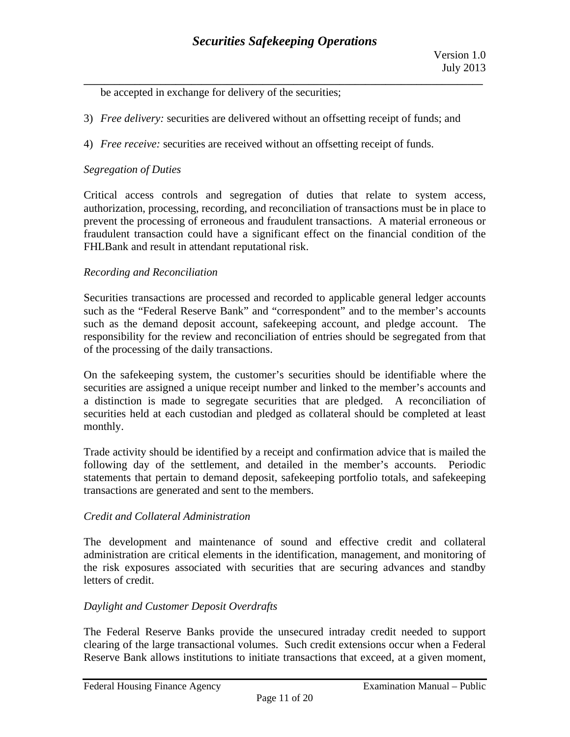be accepted in exchange for delivery of the securities;

- 3) *Free delivery:* securities are delivered without an offsetting receipt of funds; and
- 4) *Free receive:* securities are received without an offsetting receipt of funds.

### *Segregation of Duties*

Critical access controls and segregation of duties that relate to system access, authorization, processing, recording, and reconciliation of transactions must be in place to prevent the processing of erroneous and fraudulent transactions. A material erroneous or fraudulent transaction could have a significant effect on the financial condition of the FHLBank and result in attendant reputational risk.

### *Recording and Reconciliation*

Securities transactions are processed and recorded to applicable general ledger accounts such as the "Federal Reserve Bank" and "correspondent" and to the member's accounts such as the demand deposit account, safekeeping account, and pledge account. The responsibility for the review and reconciliation of entries should be segregated from that of the processing of the daily transactions.

On the safekeeping system, the customer's securities should be identifiable where the securities are assigned a unique receipt number and linked to the member's accounts and a distinction is made to segregate securities that are pledged. A reconciliation of securities held at each custodian and pledged as collateral should be completed at least monthly.

Trade activity should be identified by a receipt and confirmation advice that is mailed the following day of the settlement, and detailed in the member's accounts. Periodic statements that pertain to demand deposit, safekeeping portfolio totals, and safekeeping transactions are generated and sent to the members.

### *Credit and Collateral Administration*

The development and maintenance of sound and effective credit and collateral administration are critical elements in the identification, management, and monitoring of the risk exposures associated with securities that are securing advances and standby letters of credit.

### *Daylight and Customer Deposit Overdrafts*

The Federal Reserve Banks provide the unsecured intraday credit needed to support clearing of the large transactional volumes. Such credit extensions occur when a Federal Reserve Bank allows institutions to initiate transactions that exceed, at a given moment,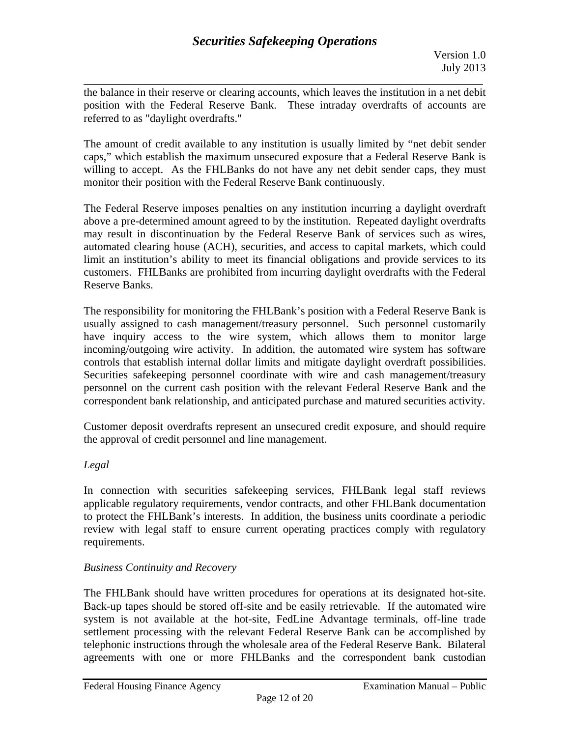**\_\_\_\_\_\_\_\_\_\_\_\_\_\_\_\_\_\_\_\_\_\_\_\_\_\_\_\_\_\_\_\_\_\_\_\_\_\_\_\_\_\_\_\_\_\_\_\_\_\_\_\_\_\_\_\_\_\_\_\_\_\_\_\_\_\_\_\_\_\_\_\_\_\_\_\_\_\_**  the balance in their reserve or clearing accounts, which leaves the institution in a net debit position with the Federal Reserve Bank. These intraday overdrafts of accounts are referred to as "daylight overdrafts."

The amount of credit available to any institution is usually limited by "net debit sender caps," which establish the maximum unsecured exposure that a Federal Reserve Bank is willing to accept. As the FHLBanks do not have any net debit sender caps, they must monitor their position with the Federal Reserve Bank continuously.

The Federal Reserve imposes penalties on any institution incurring a daylight overdraft above a pre-determined amount agreed to by the institution. Repeated daylight overdrafts may result in discontinuation by the Federal Reserve Bank of services such as wires, automated clearing house (ACH), securities, and access to capital markets, which could limit an institution's ability to meet its financial obligations and provide services to its customers. FHLBanks are prohibited from incurring daylight overdrafts with the Federal Reserve Banks.

 controls that establish internal dollar limits and mitigate daylight overdraft possibilities. Securities safekeeping personnel coordinate with wire and cash management/treasury The responsibility for monitoring the FHLBank's position with a Federal Reserve Bank is usually assigned to cash management/treasury personnel. Such personnel customarily have inquiry access to the wire system, which allows them to monitor large incoming/outgoing wire activity. In addition, the automated wire system has software personnel on the current cash position with the relevant Federal Reserve Bank and the correspondent bank relationship, and anticipated purchase and matured securities activity.

Customer deposit overdrafts represent an unsecured credit exposure, and should require the approval of credit personnel and line management.

# *Legal*

In connection with securities safekeeping services, FHLBank legal staff reviews applicable regulatory requirements, vendor contracts, and other FHLBank documentation to protect the FHLBank's interests. In addition, the business units coordinate a periodic review with legal staff to ensure current operating practices comply with regulatory requirements.

# *Business Continuity and Recovery*

The FHLBank should have written procedures for operations at its designated hot-site. Back-up tapes should be stored off-site and be easily retrievable. If the automated wire system is not available at the hot-site, FedLine Advantage terminals, off-line trade settlement processing with the relevant Federal Reserve Bank can be accomplished by telephonic instructions through the wholesale area of the Federal Reserve Bank. Bilateral agreements with one or more FHLBanks and the correspondent bank custodian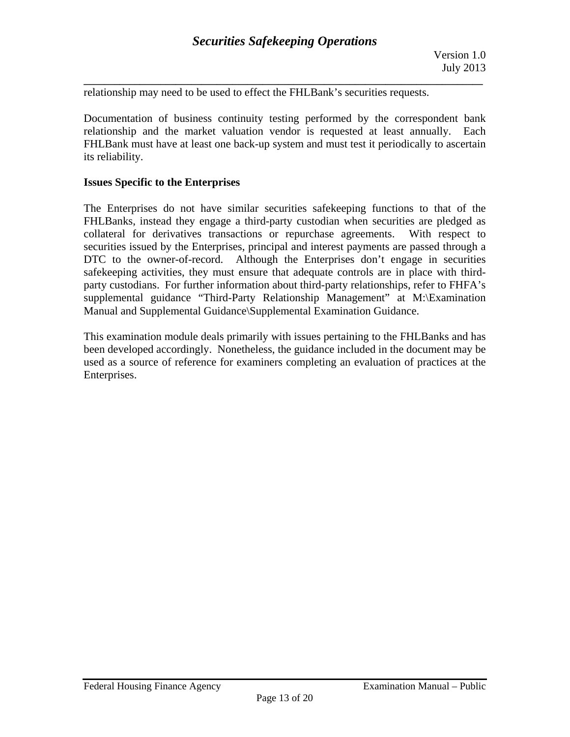relationship may need to be used to effect the FHLBank's securities requests.

Documentation of business continuity testing performed by the correspondent bank relationship and the market valuation vendor is requested at least annually. Each FHLBank must have at least one back-up system and must test it periodically to ascertain its reliability.

#### **Issues Specific to the Enterprises**

 party custodians. For further information about third-party relationships, refer to FHFA's The Enterprises do not have similar securities safekeeping functions to that of the FHLBanks, instead they engage a third-party custodian when securities are pledged as collateral for derivatives transactions or repurchase agreements. With respect to securities issued by the Enterprises, principal and interest payments are passed through a DTC to the owner-of-record. Although the Enterprises don't engage in securities safekeeping activities, they must ensure that adequate controls are in place with thirdsupplemental guidance "Third-Party Relationship Management" at M:\Examination Manual and Supplemental Guidance\Supplemental Examination Guidance.

This examination module deals primarily with issues pertaining to the FHLBanks and has been developed accordingly. Nonetheless, the guidance included in the document may be used as a source of reference for examiners completing an evaluation of practices at the Enterprises.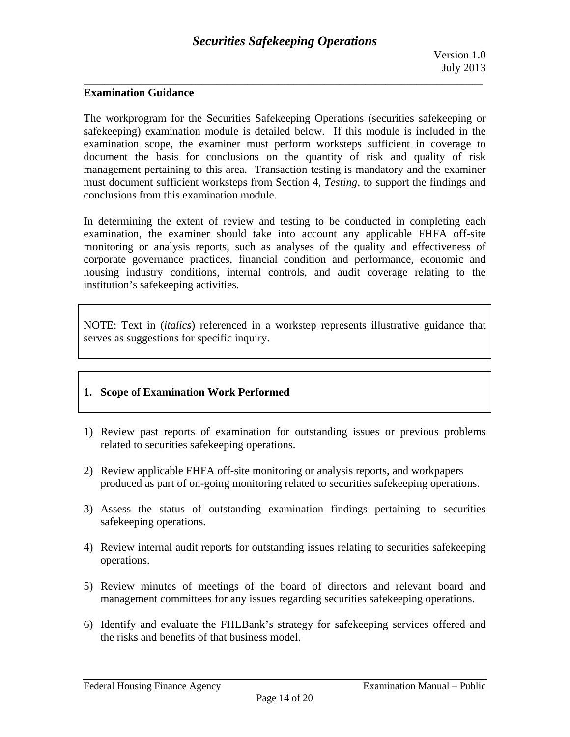# **Examination Guidance**

The workprogram for the Securities Safekeeping Operations (securities safekeeping or safekeeping) examination module is detailed below. If this module is included in the examination scope, the examiner must perform worksteps sufficient in coverage to document the basis for conclusions on the quantity of risk and quality of risk management pertaining to this area. Transaction testing is mandatory and the examiner must document sufficient worksteps from Section 4, *Testing*, to support the findings and conclusions from this examination module.

In determining the extent of review and testing to be conducted in completing each examination, the examiner should take into account any applicable FHFA off-site monitoring or analysis reports, such as analyses of the quality and effectiveness of corporate governance practices, financial condition and performance, economic and housing industry conditions, internal controls, and audit coverage relating to the institution's safekeeping activities.

NOTE: Text in (*italics*) referenced in a workstep represents illustrative guidance that serves as suggestions for specific inquiry.

### **1. Scope of Examination Work Performed**

- 1) Review past reports of examination for outstanding issues or previous problems related to securities safekeeping operations.
- 2) Review applicable FHFA off-site monitoring or analysis reports, and workpapers produced as part of on-going monitoring related to securities safekeeping operations.
- 3) Assess the status of outstanding examination findings pertaining to securities safekeeping operations.
- 4) Review internal audit reports for outstanding issues relating to securities safekeeping operations.
- 5) Review minutes of meetings of the board of directors and relevant board and management committees for any issues regarding securities safekeeping operations.
- 6) Identify and evaluate the FHLBank's strategy for safekeeping services offered and the risks and benefits of that business model.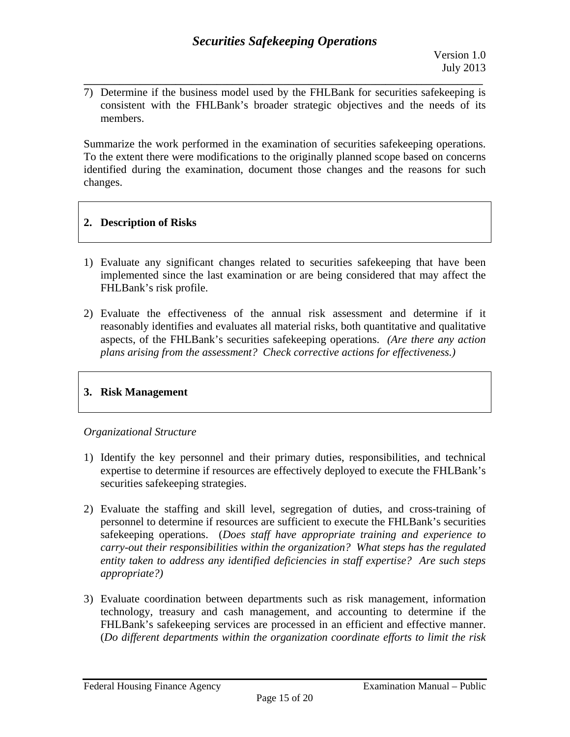7) Determine if the business model used by the FHLBank for securities safekeeping is consistent with the FHLBank's broader strategic objectives and the needs of its members.

**\_\_\_\_\_\_\_\_\_\_\_\_\_\_\_\_\_\_\_\_\_\_\_\_\_\_\_\_\_\_\_\_\_\_\_\_\_\_\_\_\_\_\_\_\_\_\_\_\_\_\_\_\_\_\_\_\_\_\_\_\_\_\_\_\_\_\_\_\_\_\_\_\_\_\_\_\_\_** 

Summarize the work performed in the examination of securities safekeeping operations. To the extent there were modifications to the originally planned scope based on concerns identified during the examination, document those changes and the reasons for such changes.

# **2. Description of Risks**

- 1) Evaluate any significant changes related to securities safekeeping that have been implemented since the last examination or are being considered that may affect the FHLBank's risk profile.
- *plans arising from the assessment? Check corrective actions for effectiveness.)* 2) Evaluate the effectiveness of the annual risk assessment and determine if it reasonably identifies and evaluates all material risks, both quantitative and qualitative aspects, of the FHLBank's securities safekeeping operations. *(Are there any action*

# **3. Risk Management**

# *Organizational Structure*

- 1) Identify the key personnel and their primary duties, responsibilities, and technical expertise to determine if resources are effectively deployed to execute the FHLBank's securities safekeeping strategies.
- 2) Evaluate the staffing and skill level, segregation of duties, and cross-training of personnel to determine if resources are sufficient to execute the FHLBank's securities safekeeping operations. (*Does staff have appropriate training and experience to carry-out their responsibilities within the organization? What steps has the regulated entity taken to address any identified deficiencies in staff expertise? Are such steps appropriate?)*
- 3) Evaluate coordination between departments such as risk management, information technology, treasury and cash management, and accounting to determine if the FHLBank's safekeeping services are processed in an efficient and effective manner. (*Do different departments within the organization coordinate efforts to limit the risk*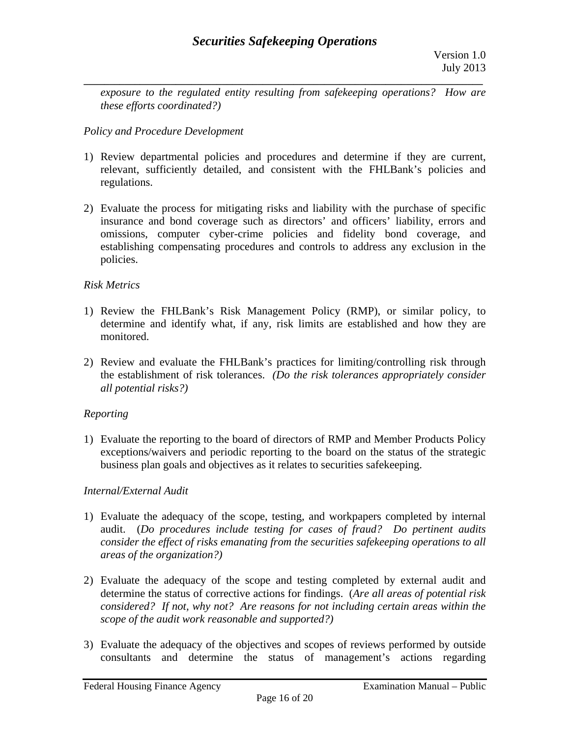*exposure to the regulated entity resulting from safekeeping operations? How are these efforts coordinated?)* 

# *Policy and Procedure Development*

- 1) Review departmental policies and procedures and determine if they are current, relevant, sufficiently detailed, and consistent with the FHLBank's policies and regulations.
- 2) Evaluate the process for mitigating risks and liability with the purchase of specific insurance and bond coverage such as directors' and officers' liability, errors and omissions, computer cyber-crime policies and fidelity bond coverage, and establishing compensating procedures and controls to address any exclusion in the policies.

# *Risk Metrics*

- 1) Review the FHLBank's Risk Management Policy (RMP), or similar policy, to determine and identify what, if any, risk limits are established and how they are monitored.
- 2) Review and evaluate the FHLBank's practices for limiting/controlling risk through the establishment of risk tolerances. *(Do the risk tolerances appropriately consider all potential risks?)*

# *Reporting*

1) Evaluate the reporting to the board of directors of RMP and Member Products Policy exceptions/waivers and periodic reporting to the board on the status of the strategic business plan goals and objectives as it relates to securities safekeeping.

### *Internal/External Audit*

- 1) Evaluate the adequacy of the scope, testing, and workpapers completed by internal audit. (*Do procedures include testing for cases of fraud? Do pertinent audits consider the effect of risks emanating from the securities safekeeping operations to all areas of the organization?)*
- 2) Evaluate the adequacy of the scope and testing completed by external audit and determine the status of corrective actions for findings. (*Are all areas of potential risk considered? If not, why not? Are reasons for not including certain areas within the scope of the audit work reasonable and supported?)*
- 3) Evaluate the adequacy of the objectives and scopes of reviews performed by outside consultants and determine the status of management's actions regarding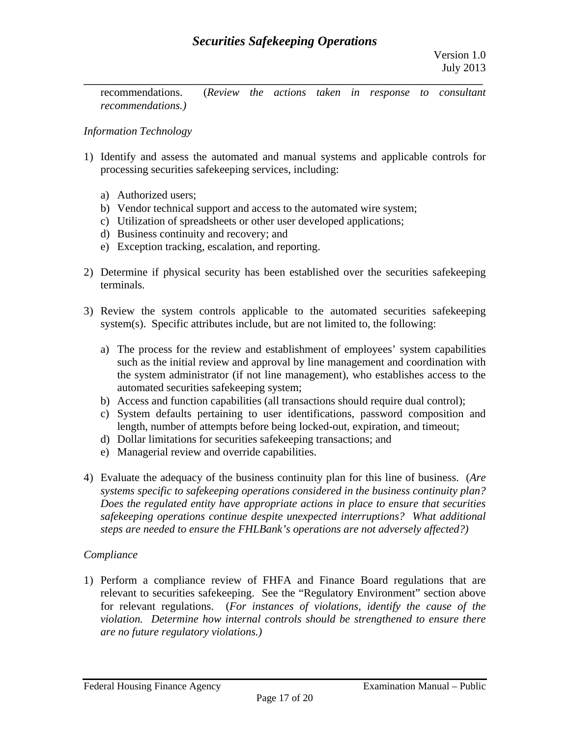recommendations. (*Review the actions taken in response to consultant recommendations.)* 

# *Information Technology*

- 1) Identify and assess the automated and manual systems and applicable controls for processing securities safekeeping services, including:
	- a) Authorized users;
	- b) Vendor technical support and access to the automated wire system;
	- c) Utilization of spreadsheets or other user developed applications;
	- d) Business continuity and recovery; and
	- e) Exception tracking, escalation, and reporting.
- 2) Determine if physical security has been established over the securities safekeeping terminals.
- 3) Review the system controls applicable to the automated securities safekeeping system(s). Specific attributes include, but are not limited to, the following:
	- a) The process for the review and establishment of employees' system capabilities such as the initial review and approval by line management and coordination with the system administrator (if not line management), who establishes access to the automated securities safekeeping system;
	- b) Access and function capabilities (all transactions should require dual control);
	- c) System defaults pertaining to user identifications, password composition and length, number of attempts before being locked-out, expiration, and timeout;
	- d) Dollar limitations for securities safekeeping transactions; and
	- e) Managerial review and override capabilities.
- 4) Evaluate the adequacy of the business continuity plan for this line of business. (*Are systems specific to safekeeping operations considered in the business continuity plan? Does the regulated entity have appropriate actions in place to ensure that securities safekeeping operations continue despite unexpected interruptions? What additional steps are needed to ensure the FHLBank's operations are not adversely affected?)*

### *Compliance*

1) Perform a compliance review of FHFA and Finance Board regulations that are relevant to securities safekeeping. See the "Regulatory Environment" section above for relevant regulations. (*For instances of violations, identify the cause of the violation. Determine how internal controls should be strengthened to ensure there are no future regulatory violations.)*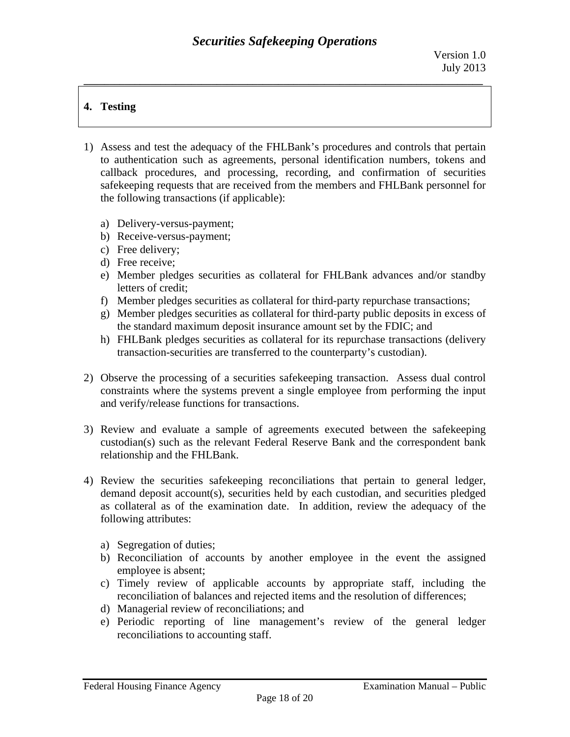# **4. Testing**

- 1) Assess and test the adequacy of the FHLBank's procedures and controls that pertain to authentication such as agreements, personal identification numbers, tokens and callback procedures, and processing, recording, and confirmation of securities safekeeping requests that are received from the members and FHLBank personnel for the following transactions (if applicable):
	- a) Delivery-versus-payment;
	- b) Receive-versus-payment;
	- c) Free delivery;
	- d) Free receive;
	- e) Member pledges securities as collateral for FHLBank advances and/or standby letters of credit;
	- f) Member pledges securities as collateral for third-party repurchase transactions;
	- g) Member pledges securities as collateral for third-party public deposits in excess of the standard maximum deposit insurance amount set by the FDIC; and
	- h) FHLBank pledges securities as collateral for its repurchase transactions (delivery transaction-securities are transferred to the counterparty's custodian).
- 2) Observe the processing of a securities safekeeping transaction. Assess dual control constraints where the systems prevent a single employee from performing the input and verify/release functions for transactions.
- 3) Review and evaluate a sample of agreements executed between the safekeeping custodian(s) such as the relevant Federal Reserve Bank and the correspondent bank relationship and the FHLBank.
- 4) Review the securities safekeeping reconciliations that pertain to general ledger, demand deposit account(s), securities held by each custodian, and securities pledged as collateral as of the examination date. In addition, review the adequacy of the following attributes:
	- a) Segregation of duties;
	- b) Reconciliation of accounts by another employee in the event the assigned employee is absent;
	- c) Timely review of applicable accounts by appropriate staff, including the reconciliation of balances and rejected items and the resolution of differences;
	- d) Managerial review of reconciliations; and
	- e) Periodic reporting of line management's review of the general ledger reconciliations to accounting staff.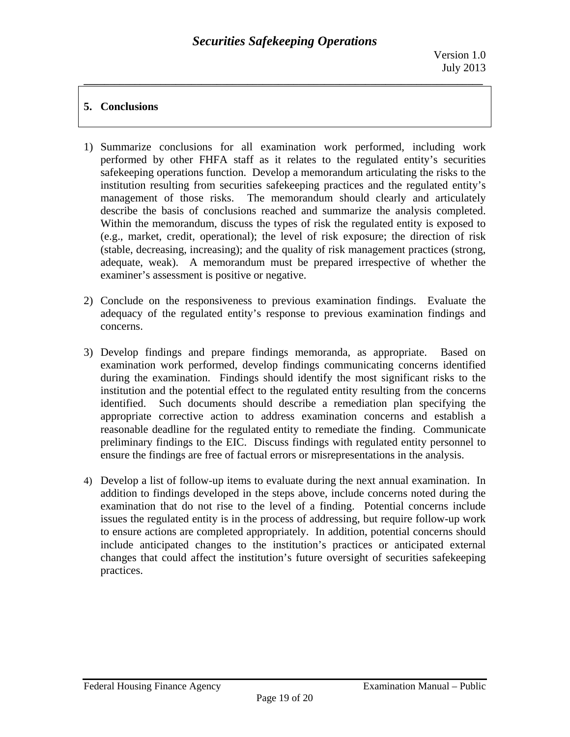# **5. Conclusions**

- 1) Summarize conclusions for all examination work performed, including work performed by other FHFA staff as it relates to the regulated entity's securities safekeeping operations function. Develop a memorandum articulating the risks to the institution resulting from securities safekeeping practices and the regulated entity's management of those risks. The memorandum should clearly and articulately describe the basis of conclusions reached and summarize the analysis completed. Within the memorandum, discuss the types of risk the regulated entity is exposed to (e.g., market, credit, operational); the level of risk exposure; the direction of risk (stable, decreasing, increasing); and the quality of risk management practices (strong, adequate, weak). A memorandum must be prepared irrespective of whether the examiner's assessment is positive or negative.
- 2) Conclude on the responsiveness to previous examination findings. Evaluate the adequacy of the regulated entity's response to previous examination findings and concerns.
- 3) Develop findings and prepare findings memoranda, as appropriate. Based on examination work performed, develop findings communicating concerns identified during the examination. Findings should identify the most significant risks to the institution and the potential effect to the regulated entity resulting from the concerns identified. Such documents should describe a remediation plan specifying the appropriate corrective action to address examination concerns and establish a reasonable deadline for the regulated entity to remediate the finding. Communicate preliminary findings to the EIC. Discuss findings with regulated entity personnel to ensure the findings are free of factual errors or misrepresentations in the analysis.
- 4) Develop a list of follow-up items to evaluate during the next annual examination. In addition to findings developed in the steps above, include concerns noted during the examination that do not rise to the level of a finding. Potential concerns include issues the regulated entity is in the process of addressing, but require follow-up work to ensure actions are completed appropriately. In addition, potential concerns should include anticipated changes to the institution's practices or anticipated external changes that could affect the institution's future oversight of securities safekeeping practices.